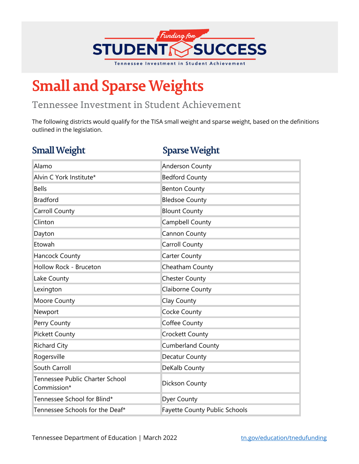

## **Small and Sparse Weights**

## Tennessee Investment in Student Achievement

The following districts would qualify for the TISA small weight and sparse weight, based on the definitions outlined in the legislation.

## **Small Weight Sparse Weight**

| Alamo                                          | <b>Anderson County</b>               |
|------------------------------------------------|--------------------------------------|
| Alvin C York Institute*                        | <b>Bedford County</b>                |
| <b>Bells</b>                                   | <b>Benton County</b>                 |
| <b>Bradford</b>                                | <b>Bledsoe County</b>                |
| Carroll County                                 | <b>Blount County</b>                 |
| Clinton                                        | Campbell County                      |
| Dayton                                         | Cannon County                        |
| Etowah                                         | Carroll County                       |
| Hancock County                                 | Carter County                        |
| Hollow Rock - Bruceton                         | Cheatham County                      |
| Lake County                                    | <b>Chester County</b>                |
| Lexington                                      | Claiborne County                     |
| Moore County                                   | Clay County                          |
| Newport                                        | Cocke County                         |
| Perry County                                   | Coffee County                        |
| <b>Pickett County</b>                          | <b>Crockett County</b>               |
| <b>Richard City</b>                            | Cumberland County                    |
| Rogersville                                    | Decatur County                       |
| South Carroll                                  | DeKalb County                        |
| Tennessee Public Charter School<br>Commission* | Dickson County                       |
| Tennessee School for Blind*                    | <b>Dyer County</b>                   |
| Tennessee Schools for the Deaf*                | <b>Fayette County Public Schools</b> |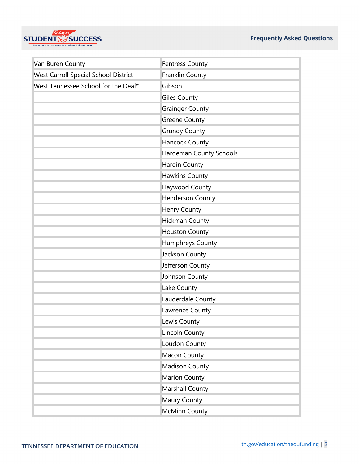

| Van Buren County                     | <b>Fentress County</b>  |
|--------------------------------------|-------------------------|
| West Carroll Special School District | Franklin County         |
| West Tennessee School for the Deaf*  | Gibson                  |
|                                      | <b>Giles County</b>     |
|                                      | <b>Grainger County</b>  |
|                                      | Greene County           |
|                                      | <b>Grundy County</b>    |
|                                      | Hancock County          |
|                                      | Hardeman County Schools |
|                                      | Hardin County           |
|                                      | Hawkins County          |
|                                      | Haywood County          |
|                                      | Henderson County        |
|                                      | Henry County            |
|                                      | <b>Hickman County</b>   |
|                                      | <b>Houston County</b>   |
|                                      | Humphreys County        |
|                                      | Jackson County          |
|                                      | Jefferson County        |
|                                      | Johnson County          |
|                                      | Lake County             |
|                                      | Lauderdale County       |
|                                      | Lawrence County         |
|                                      | Lewis County            |
|                                      | Lincoln County          |
|                                      | Loudon County           |
|                                      | Macon County            |
|                                      | <b>Madison County</b>   |
|                                      | <b>Marion County</b>    |
|                                      | <b>Marshall County</b>  |
|                                      | Maury County            |
|                                      | <b>McMinn County</b>    |